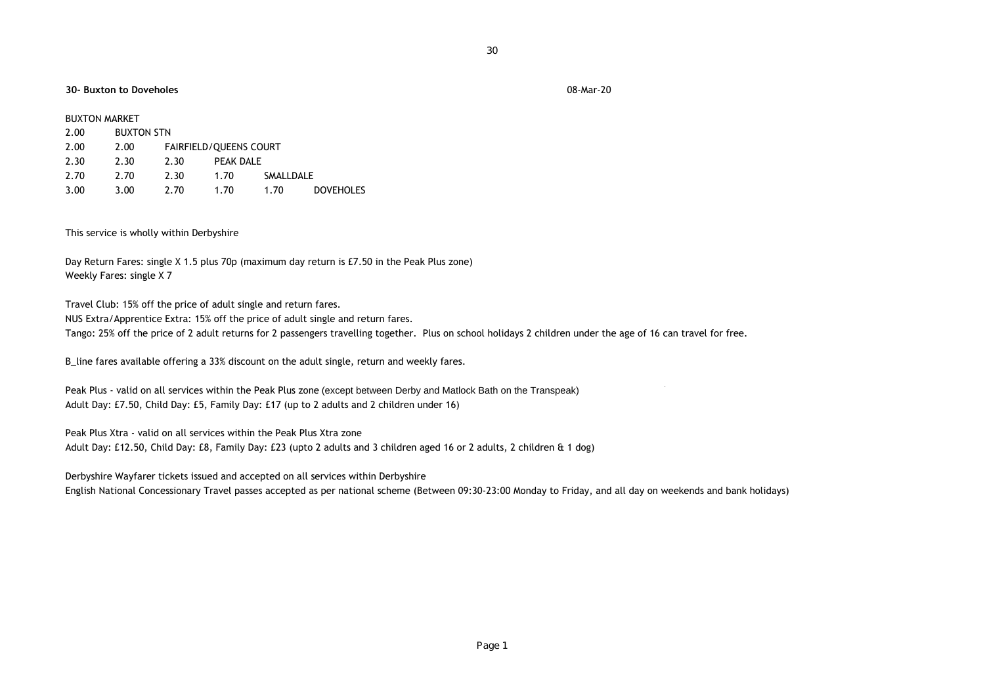## **30- Buxton to Doveholes** 08-Mar-20

| <b>BUXTON MARKET</b> |      |                   |      |                               |           |                  |
|----------------------|------|-------------------|------|-------------------------------|-----------|------------------|
|                      | 2.00 | <b>BUXTON STN</b> |      |                               |           |                  |
|                      | 2.00 | 2.00              |      | <b>FAIRFIELD/OUEENS COURT</b> |           |                  |
|                      | 2.30 | 2.30              | 2.30 | PFAK DAI F                    |           |                  |
|                      | 2.70 | 2.70              | 2.30 | 1.70                          | SMALLDALE |                  |
|                      | 3.00 | 3.00              | 2.70 | 1.70                          | 1.70      | <b>DOVEHOLES</b> |

This service is wholly within Derbyshire

Day Return Fares: single X 1.5 plus 70p (maximum day return is £7.50 in the Peak Plus zone) Weekly Fares: single X 7

Travel Club: 15% off the price of adult single and return fares.

NUS Extra/Apprentice Extra: 15% off the price of adult single and return fares.

Tango: 25% off the price of 2 adult returns for 2 passengers travelling together. Plus on school holidays 2 children under the age of 16 can travel for free.

B\_line fares available offering a 33% discount on the adult single, return and weekly fares.

Peak Plus - valid on all services within the Peak Plus zone (except between Derby and Matlock Bath on the Transpeak) Adult Day: £7.50, Child Day: £5, Family Day: £17 (up to 2 adults and 2 children under 16)

Peak Plus Xtra - valid on all services within the Peak Plus Xtra zone

Adult Day: £12.50, Child Day: £8, Family Day: £23 (upto 2 adults and 3 children aged 16 or 2 adults, 2 children & 1 dog)

Derbyshire Wayfarer tickets issued and accepted on all services within Derbyshire

English National Concessionary Travel passes accepted as per national scheme (Between 09:30-23:00 Monday to Friday, and all day on weekends and bank holidays)